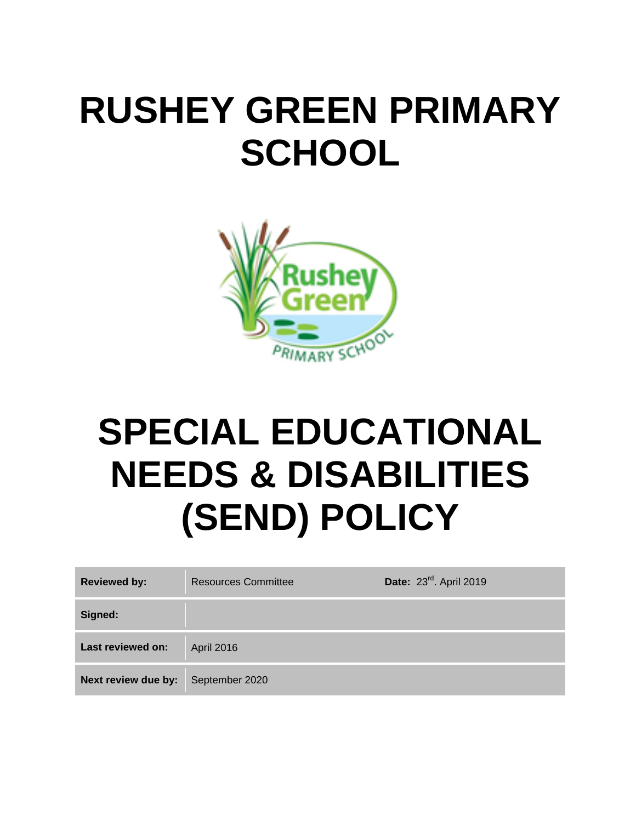## **RUSHEY GREEN PRIMARY SCHOOL**



# **SPECIAL EDUCATIONAL NEEDS & DISABILITIES (SEND) POLICY**

| <b>Reviewed by:</b> | <b>Resources Committee</b> | Date: 23 <sup>rd</sup> . April 2019 |
|---------------------|----------------------------|-------------------------------------|
| Signed:             |                            |                                     |
| Last reviewed on:   | April 2016                 |                                     |
| Next review due by: | September 2020             |                                     |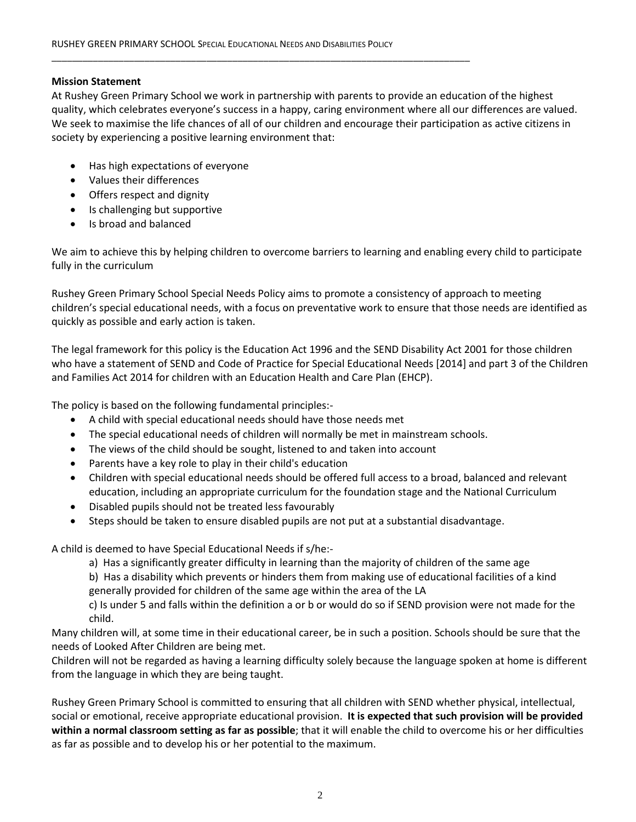## **Mission Statement**

At Rushey Green Primary School we work in partnership with parents to provide an education of the highest quality, which celebrates everyone's success in a happy, caring environment where all our differences are valued. We seek to maximise the life chances of all of our children and encourage their participation as active citizens in society by experiencing a positive learning environment that:

- Has high expectations of everyone
- Values their differences
- Offers respect and dignity
- Is challenging but supportive
- Is broad and balanced

We aim to achieve this by helping children to overcome barriers to learning and enabling every child to participate fully in the curriculum

Rushey Green Primary School Special Needs Policy aims to promote a consistency of approach to meeting children's special educational needs, with a focus on preventative work to ensure that those needs are identified as quickly as possible and early action is taken.

The legal framework for this policy is the Education Act 1996 and the SEND Disability Act 2001 for those children who have a statement of SEND and Code of Practice for Special Educational Needs [2014] and part 3 of the Children and Families Act 2014 for children with an Education Health and Care Plan (EHCP).

The policy is based on the following fundamental principles:-

- A child with special educational needs should have those needs met
- The special educational needs of children will normally be met in mainstream schools.
- The views of the child should be sought, listened to and taken into account
- Parents have a key role to play in their child's education
- Children with special educational needs should be offered full access to a broad, balanced and relevant education, including an appropriate curriculum for the foundation stage and the National Curriculum
- Disabled pupils should not be treated less favourably
- Steps should be taken to ensure disabled pupils are not put at a substantial disadvantage.

A child is deemed to have Special Educational Needs if s/he:-

a) Has a significantly greater difficulty in learning than the majority of children of the same age

b) Has a disability which prevents or hinders them from making use of educational facilities of a kind generally provided for children of the same age within the area of the LA

c) Is under 5 and falls within the definition a or b or would do so if SEND provision were not made for the child.

Many children will, at some time in their educational career, be in such a position. Schools should be sure that the needs of Looked After Children are being met.

Children will not be regarded as having a learning difficulty solely because the language spoken at home is different from the language in which they are being taught.

Rushey Green Primary School is committed to ensuring that all children with SEND whether physical, intellectual, social or emotional, receive appropriate educational provision. **It is expected that such provision will be provided within a normal classroom setting as far as possible**; that it will enable the child to overcome his or her difficulties as far as possible and to develop his or her potential to the maximum.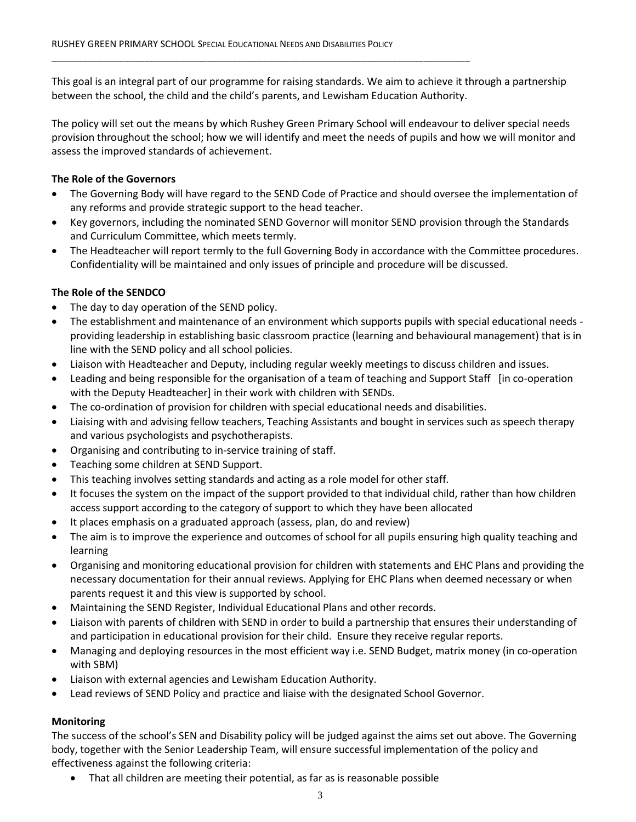This goal is an integral part of our programme for raising standards. We aim to achieve it through a partnership between the school, the child and the child's parents, and Lewisham Education Authority.

The policy will set out the means by which Rushey Green Primary School will endeavour to deliver special needs provision throughout the school; how we will identify and meet the needs of pupils and how we will monitor and assess the improved standards of achievement.

## **The Role of the Governors**

- The Governing Body will have regard to the SEND Code of Practice and should oversee the implementation of any reforms and provide strategic support to the head teacher.
- Key governors, including the nominated SEND Governor will monitor SEND provision through the Standards and Curriculum Committee, which meets termly.
- The Headteacher will report termly to the full Governing Body in accordance with the Committee procedures. Confidentiality will be maintained and only issues of principle and procedure will be discussed.

## **The Role of the SENDCO**

- The day to day operation of the SEND policy.
- The establishment and maintenance of an environment which supports pupils with special educational needs providing leadership in establishing basic classroom practice (learning and behavioural management) that is in line with the SEND policy and all school policies.
- Liaison with Headteacher and Deputy, including regular weekly meetings to discuss children and issues.
- Leading and being responsible for the organisation of a team of teaching and Support Staff [in co-operation with the Deputy Headteacher] in their work with children with SENDs.
- The co-ordination of provision for children with special educational needs and disabilities.
- Liaising with and advising fellow teachers, Teaching Assistants and bought in services such as speech therapy and various psychologists and psychotherapists.
- Organising and contributing to in-service training of staff.
- Teaching some children at SEND Support.
- This teaching involves setting standards and acting as a role model for other staff.
- It focuses the system on the impact of the support provided to that individual child, rather than how children access support according to the category of support to which they have been allocated
- It places emphasis on a graduated approach (assess, plan, do and review)
- The aim is to improve the experience and outcomes of school for all pupils ensuring high quality teaching and learning
- Organising and monitoring educational provision for children with statements and EHC Plans and providing the necessary documentation for their annual reviews. Applying for EHC Plans when deemed necessary or when parents request it and this view is supported by school.
- Maintaining the SEND Register, Individual Educational Plans and other records.
- Liaison with parents of children with SEND in order to build a partnership that ensures their understanding of and participation in educational provision for their child. Ensure they receive regular reports.
- Managing and deploying resources in the most efficient way i.e. SEND Budget, matrix money (in co-operation with SBM)
- Liaison with external agencies and Lewisham Education Authority.
- Lead reviews of SEND Policy and practice and liaise with the designated School Governor.

## **Monitoring**

The success of the school's SEN and Disability policy will be judged against the aims set out above. The Governing body, together with the Senior Leadership Team, will ensure successful implementation of the policy and effectiveness against the following criteria:

That all children are meeting their potential, as far as is reasonable possible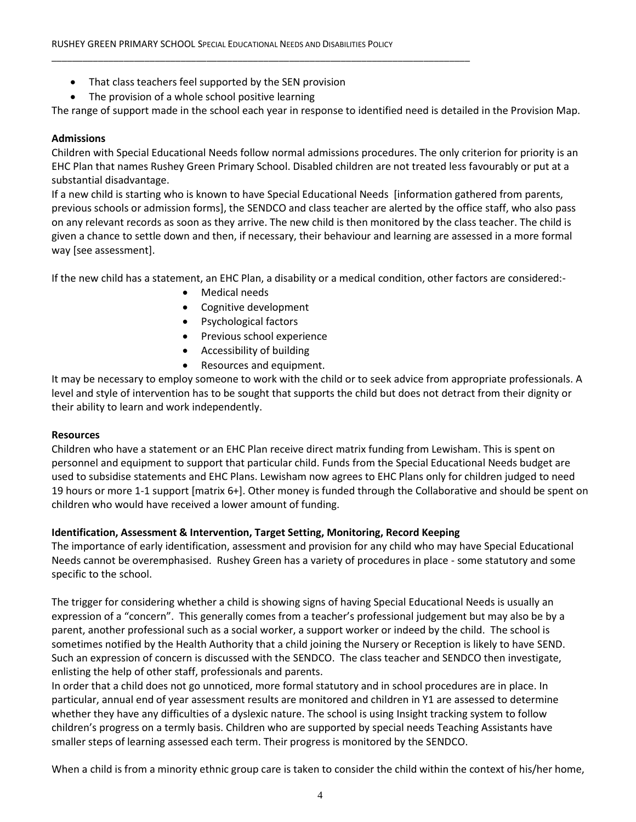- That class teachers feel supported by the SEN provision
- The provision of a whole school positive learning

The range of support made in the school each year in response to identified need is detailed in the Provision Map.

## **Admissions**

Children with Special Educational Needs follow normal admissions procedures. The only criterion for priority is an EHC Plan that names Rushey Green Primary School. Disabled children are not treated less favourably or put at a substantial disadvantage.

If a new child is starting who is known to have Special Educational Needs [information gathered from parents, previous schools or admission forms], the SENDCO and class teacher are alerted by the office staff, who also pass on any relevant records as soon as they arrive. The new child is then monitored by the class teacher. The child is given a chance to settle down and then, if necessary, their behaviour and learning are assessed in a more formal way [see assessment].

If the new child has a statement, an EHC Plan, a disability or a medical condition, other factors are considered:-

- Medical needs
- Cognitive development
- Psychological factors
- **•** Previous school experience
- Accessibility of building
- Resources and equipment.

It may be necessary to employ someone to work with the child or to seek advice from appropriate professionals. A level and style of intervention has to be sought that supports the child but does not detract from their dignity or their ability to learn and work independently.

## **Resources**

Children who have a statement or an EHC Plan receive direct matrix funding from Lewisham. This is spent on personnel and equipment to support that particular child. Funds from the Special Educational Needs budget are used to subsidise statements and EHC Plans. Lewisham now agrees to EHC Plans only for children judged to need 19 hours or more 1-1 support [matrix 6+]. Other money is funded through the Collaborative and should be spent on children who would have received a lower amount of funding.

## **Identification, Assessment & Intervention, Target Setting, Monitoring, Record Keeping**

The importance of early identification, assessment and provision for any child who may have Special Educational Needs cannot be overemphasised. Rushey Green has a variety of procedures in place - some statutory and some specific to the school.

The trigger for considering whether a child is showing signs of having Special Educational Needs is usually an expression of a "concern". This generally comes from a teacher's professional judgement but may also be by a parent, another professional such as a social worker, a support worker or indeed by the child. The school is sometimes notified by the Health Authority that a child joining the Nursery or Reception is likely to have SEND. Such an expression of concern is discussed with the SENDCO. The class teacher and SENDCO then investigate, enlisting the help of other staff, professionals and parents.

In order that a child does not go unnoticed, more formal statutory and in school procedures are in place. In particular, annual end of year assessment results are monitored and children in Y1 are assessed to determine whether they have any difficulties of a dyslexic nature. The school is using Insight tracking system to follow children's progress on a termly basis. Children who are supported by special needs Teaching Assistants have smaller steps of learning assessed each term. Their progress is monitored by the SENDCO.

When a child is from a minority ethnic group care is taken to consider the child within the context of his/her home,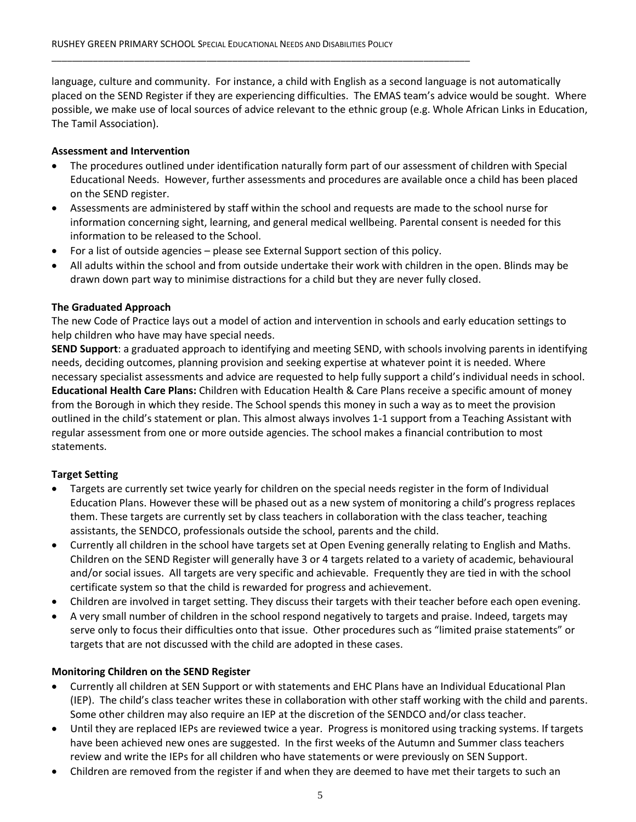language, culture and community. For instance, a child with English as a second language is not automatically placed on the SEND Register if they are experiencing difficulties. The EMAS team's advice would be sought. Where possible, we make use of local sources of advice relevant to the ethnic group (e.g. Whole African Links in Education, The Tamil Association).

## **Assessment and Intervention**

- The procedures outlined under identification naturally form part of our assessment of children with Special Educational Needs. However, further assessments and procedures are available once a child has been placed on the SEND register.
- Assessments are administered by staff within the school and requests are made to the school nurse for information concerning sight, learning, and general medical wellbeing. Parental consent is needed for this information to be released to the School.
- For a list of outside agencies please see External Support section of this policy.
- All adults within the school and from outside undertake their work with children in the open. Blinds may be drawn down part way to minimise distractions for a child but they are never fully closed.

## **The Graduated Approach**

The new Code of Practice lays out a model of action and intervention in schools and early education settings to help children who have may have special needs.

**SEND Support**: a graduated approach to identifying and meeting SEND, with schools involving parents in identifying needs, deciding outcomes, planning provision and seeking expertise at whatever point it is needed. Where necessary specialist assessments and advice are requested to help fully support a child's individual needs in school. **Educational Health Care Plans:** Children with Education Health & Care Plans receive a specific amount of money from the Borough in which they reside. The School spends this money in such a way as to meet the provision outlined in the child's statement or plan. This almost always involves 1-1 support from a Teaching Assistant with regular assessment from one or more outside agencies. The school makes a financial contribution to most statements.

## **Target Setting**

- Targets are currently set twice yearly for children on the special needs register in the form of Individual Education Plans. However these will be phased out as a new system of monitoring a child's progress replaces them. These targets are currently set by class teachers in collaboration with the class teacher, teaching assistants, the SENDCO, professionals outside the school, parents and the child.
- Currently all children in the school have targets set at Open Evening generally relating to English and Maths. Children on the SEND Register will generally have 3 or 4 targets related to a variety of academic, behavioural and/or social issues. All targets are very specific and achievable. Frequently they are tied in with the school certificate system so that the child is rewarded for progress and achievement.
- Children are involved in target setting. They discuss their targets with their teacher before each open evening.
- A very small number of children in the school respond negatively to targets and praise. Indeed, targets may serve only to focus their difficulties onto that issue. Other procedures such as "limited praise statements" or targets that are not discussed with the child are adopted in these cases.

## **Monitoring Children on the SEND Register**

- Currently all children at SEN Support or with statements and EHC Plans have an Individual Educational Plan (IEP). The child's class teacher writes these in collaboration with other staff working with the child and parents. Some other children may also require an IEP at the discretion of the SENDCO and/or class teacher.
- Until they are replaced IEPs are reviewed twice a year. Progress is monitored using tracking systems. If targets have been achieved new ones are suggested. In the first weeks of the Autumn and Summer class teachers review and write the IEPs for all children who have statements or were previously on SEN Support.
- Children are removed from the register if and when they are deemed to have met their targets to such an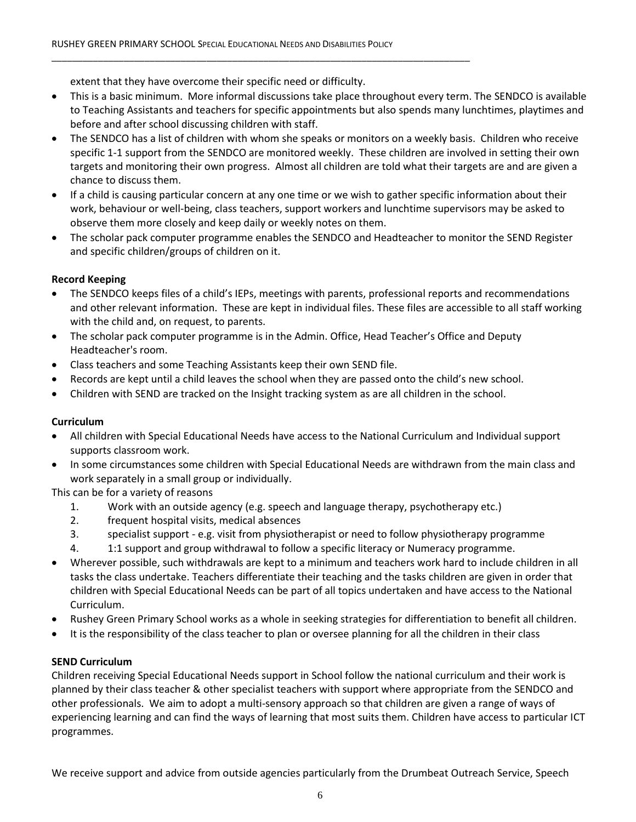extent that they have overcome their specific need or difficulty.

- This is a basic minimum. More informal discussions take place throughout every term. The SENDCO is available to Teaching Assistants and teachers for specific appointments but also spends many lunchtimes, playtimes and before and after school discussing children with staff.
- The SENDCO has a list of children with whom she speaks or monitors on a weekly basis. Children who receive specific 1-1 support from the SENDCO are monitored weekly. These children are involved in setting their own targets and monitoring their own progress. Almost all children are told what their targets are and are given a chance to discuss them.
- If a child is causing particular concern at any one time or we wish to gather specific information about their work, behaviour or well-being, class teachers, support workers and lunchtime supervisors may be asked to observe them more closely and keep daily or weekly notes on them.
- The scholar pack computer programme enables the SENDCO and Headteacher to monitor the SEND Register and specific children/groups of children on it.

## **Record Keeping**

- The SENDCO keeps files of a child's IEPs, meetings with parents, professional reports and recommendations and other relevant information. These are kept in individual files. These files are accessible to all staff working with the child and, on request, to parents.
- The scholar pack computer programme is in the Admin. Office, Head Teacher's Office and Deputy Headteacher's room.
- Class teachers and some Teaching Assistants keep their own SEND file.
- Records are kept until a child leaves the school when they are passed onto the child's new school.
- Children with SEND are tracked on the Insight tracking system as are all children in the school.

## **Curriculum**

- All children with Special Educational Needs have access to the National Curriculum and Individual support supports classroom work.
- In some circumstances some children with Special Educational Needs are withdrawn from the main class and work separately in a small group or individually.

This can be for a variety of reasons

- 1. Work with an outside agency (e.g. speech and language therapy, psychotherapy etc.)
- 2. frequent hospital visits, medical absences
- 3. specialist support e.g. visit from physiotherapist or need to follow physiotherapy programme
- 4. 1:1 support and group withdrawal to follow a specific literacy or Numeracy programme.
- Wherever possible, such withdrawals are kept to a minimum and teachers work hard to include children in all tasks the class undertake. Teachers differentiate their teaching and the tasks children are given in order that children with Special Educational Needs can be part of all topics undertaken and have access to the National Curriculum.
- Rushey Green Primary School works as a whole in seeking strategies for differentiation to benefit all children.
- It is the responsibility of the class teacher to plan or oversee planning for all the children in their class

## **SEND Curriculum**

Children receiving Special Educational Needs support in School follow the national curriculum and their work is planned by their class teacher & other specialist teachers with support where appropriate from the SENDCO and other professionals. We aim to adopt a multi-sensory approach so that children are given a range of ways of experiencing learning and can find the ways of learning that most suits them. Children have access to particular ICT programmes.

We receive support and advice from outside agencies particularly from the Drumbeat Outreach Service, Speech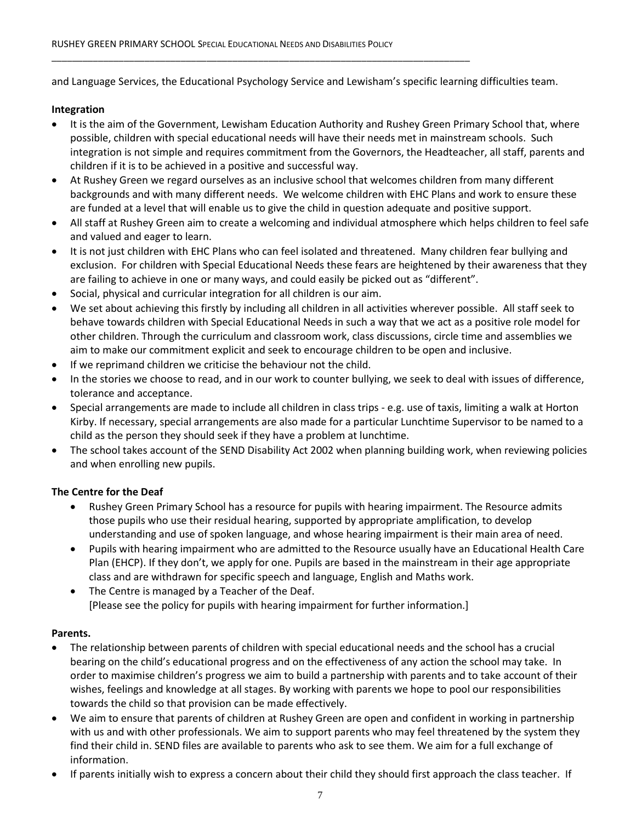and Language Services, the Educational Psychology Service and Lewisham's specific learning difficulties team.

## **Integration**

- It is the aim of the Government, Lewisham Education Authority and Rushey Green Primary School that, where possible, children with special educational needs will have their needs met in mainstream schools. Such integration is not simple and requires commitment from the Governors, the Headteacher, all staff, parents and children if it is to be achieved in a positive and successful way.
- At Rushey Green we regard ourselves as an inclusive school that welcomes children from many different backgrounds and with many different needs. We welcome children with EHC Plans and work to ensure these are funded at a level that will enable us to give the child in question adequate and positive support.
- All staff at Rushey Green aim to create a welcoming and individual atmosphere which helps children to feel safe and valued and eager to learn.
- It is not just children with EHC Plans who can feel isolated and threatened. Many children fear bullying and exclusion. For children with Special Educational Needs these fears are heightened by their awareness that they are failing to achieve in one or many ways, and could easily be picked out as "different".
- Social, physical and curricular integration for all children is our aim.
- We set about achieving this firstly by including all children in all activities wherever possible. All staff seek to behave towards children with Special Educational Needs in such a way that we act as a positive role model for other children. Through the curriculum and classroom work, class discussions, circle time and assemblies we aim to make our commitment explicit and seek to encourage children to be open and inclusive.
- If we reprimand children we criticise the behaviour not the child.
- In the stories we choose to read, and in our work to counter bullying, we seek to deal with issues of difference, tolerance and acceptance.
- Special arrangements are made to include all children in class trips e.g. use of taxis, limiting a walk at Horton Kirby. If necessary, special arrangements are also made for a particular Lunchtime Supervisor to be named to a child as the person they should seek if they have a problem at lunchtime.
- The school takes account of the SEND Disability Act 2002 when planning building work, when reviewing policies and when enrolling new pupils.

## **The Centre for the Deaf**

- Rushey Green Primary School has a resource for pupils with hearing impairment. The Resource admits those pupils who use their residual hearing, supported by appropriate amplification, to develop understanding and use of spoken language, and whose hearing impairment is their main area of need.
- Pupils with hearing impairment who are admitted to the Resource usually have an Educational Health Care Plan (EHCP). If they don't, we apply for one. Pupils are based in the mainstream in their age appropriate class and are withdrawn for specific speech and language, English and Maths work.
- The Centre is managed by a Teacher of the Deaf. [Please see the policy for pupils with hearing impairment for further information.]

## **Parents.**

- The relationship between parents of children with special educational needs and the school has a crucial bearing on the child's educational progress and on the effectiveness of any action the school may take. In order to maximise children's progress we aim to build a partnership with parents and to take account of their wishes, feelings and knowledge at all stages. By working with parents we hope to pool our responsibilities towards the child so that provision can be made effectively.
- We aim to ensure that parents of children at Rushey Green are open and confident in working in partnership with us and with other professionals. We aim to support parents who may feel threatened by the system they find their child in. SEND files are available to parents who ask to see them. We aim for a full exchange of information.
- If parents initially wish to express a concern about their child they should first approach the class teacher. If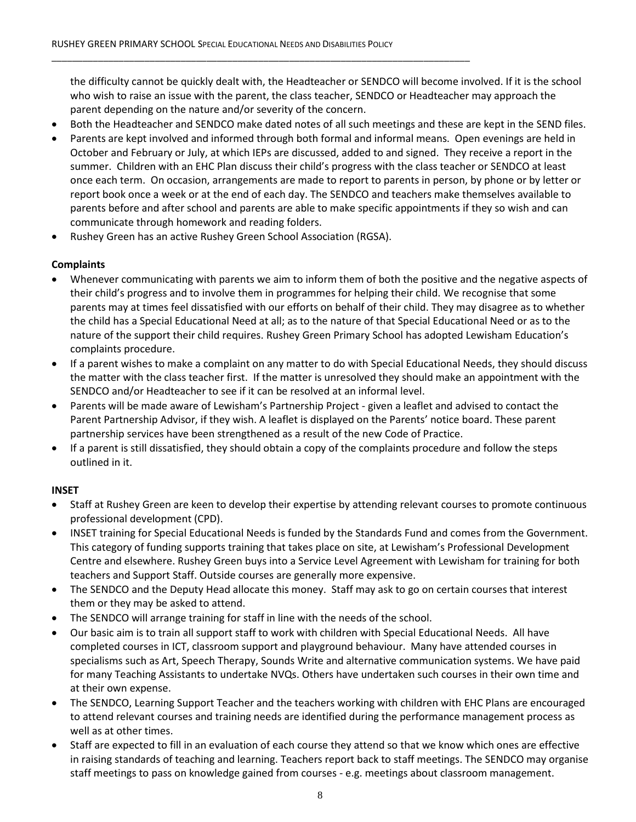the difficulty cannot be quickly dealt with, the Headteacher or SENDCO will become involved. If it is the school who wish to raise an issue with the parent, the class teacher, SENDCO or Headteacher may approach the parent depending on the nature and/or severity of the concern.

- Both the Headteacher and SENDCO make dated notes of all such meetings and these are kept in the SEND files.
- Parents are kept involved and informed through both formal and informal means. Open evenings are held in October and February or July, at which IEPs are discussed, added to and signed. They receive a report in the summer. Children with an EHC Plan discuss their child's progress with the class teacher or SENDCO at least once each term. On occasion, arrangements are made to report to parents in person, by phone or by letter or report book once a week or at the end of each day. The SENDCO and teachers make themselves available to parents before and after school and parents are able to make specific appointments if they so wish and can communicate through homework and reading folders.
- Rushey Green has an active Rushey Green School Association (RGSA).

## **Complaints**

- Whenever communicating with parents we aim to inform them of both the positive and the negative aspects of their child's progress and to involve them in programmes for helping their child. We recognise that some parents may at times feel dissatisfied with our efforts on behalf of their child. They may disagree as to whether the child has a Special Educational Need at all; as to the nature of that Special Educational Need or as to the nature of the support their child requires. Rushey Green Primary School has adopted Lewisham Education's complaints procedure.
- If a parent wishes to make a complaint on any matter to do with Special Educational Needs, they should discuss the matter with the class teacher first. If the matter is unresolved they should make an appointment with the SENDCO and/or Headteacher to see if it can be resolved at an informal level.
- Parents will be made aware of Lewisham's Partnership Project given a leaflet and advised to contact the Parent Partnership Advisor, if they wish. A leaflet is displayed on the Parents' notice board. These parent partnership services have been strengthened as a result of the new Code of Practice.
- If a parent is still dissatisfied, they should obtain a copy of the complaints procedure and follow the steps outlined in it.

## **INSET**

- Staff at Rushey Green are keen to develop their expertise by attending relevant courses to promote continuous professional development (CPD).
- INSET training for Special Educational Needs is funded by the Standards Fund and comes from the Government. This category of funding supports training that takes place on site, at Lewisham's Professional Development Centre and elsewhere. Rushey Green buys into a Service Level Agreement with Lewisham for training for both teachers and Support Staff. Outside courses are generally more expensive.
- The SENDCO and the Deputy Head allocate this money. Staff may ask to go on certain courses that interest them or they may be asked to attend.
- The SENDCO will arrange training for staff in line with the needs of the school.
- Our basic aim is to train all support staff to work with children with Special Educational Needs. All have completed courses in ICT, classroom support and playground behaviour. Many have attended courses in specialisms such as Art, Speech Therapy, Sounds Write and alternative communication systems. We have paid for many Teaching Assistants to undertake NVQs. Others have undertaken such courses in their own time and at their own expense.
- The SENDCO, Learning Support Teacher and the teachers working with children with EHC Plans are encouraged to attend relevant courses and training needs are identified during the performance management process as well as at other times.
- Staff are expected to fill in an evaluation of each course they attend so that we know which ones are effective in raising standards of teaching and learning. Teachers report back to staff meetings. The SENDCO may organise staff meetings to pass on knowledge gained from courses - e.g. meetings about classroom management.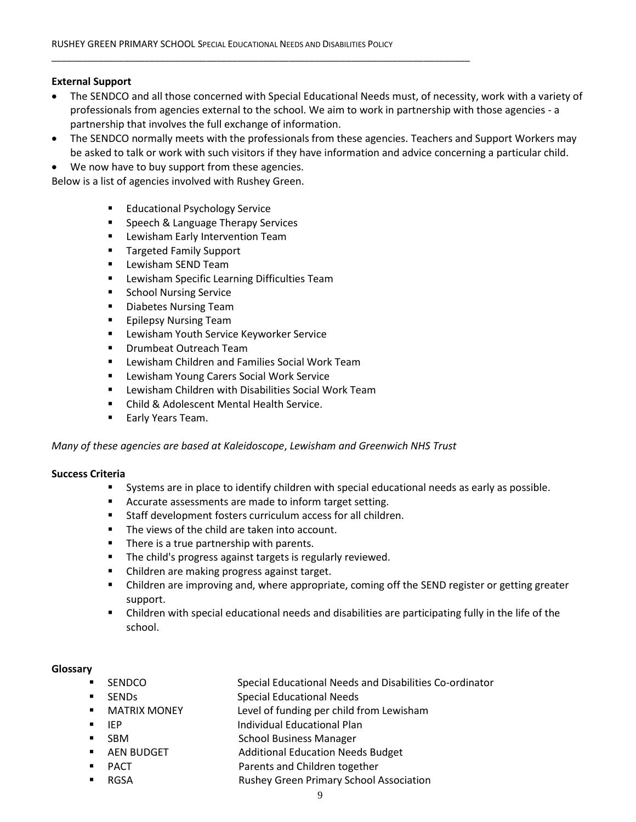#### **External Support**

- The SENDCO and all those concerned with Special Educational Needs must, of necessity, work with a variety of professionals from agencies external to the school. We aim to work in partnership with those agencies - a partnership that involves the full exchange of information.
- The SENDCO normally meets with the professionals from these agencies. Teachers and Support Workers may be asked to talk or work with such visitors if they have information and advice concerning a particular child.
- We now have to buy support from these agencies.

Below is a list of agencies involved with Rushey Green.

- Educational Psychology Service
- Speech & Language Therapy Services
- **EXEC** Lewisham Early Intervention Team
- **Targeted Family Support**
- **Lewisham SEND Team**
- **EXTE:** Lewisham Specific Learning Difficulties Team
- **School Nursing Service**
- Diabetes Nursing Team
- **Epilepsy Nursing Team**
- **EXTE:** Lewisham Youth Service Keyworker Service
- **Drumbeat Outreach Team**
- Lewisham Children and Families Social Work Team
- Lewisham Young Carers Social Work Service
- Lewisham Children with Disabilities Social Work Team
- Child & Adolescent Mental Health Service.
- **Early Years Team.**

*Many of these agencies are based at Kaleidoscope*, *Lewisham and Greenwich NHS Trust*

#### **Success Criteria**

- Systems are in place to identify children with special educational needs as early as possible.
- Accurate assessments are made to inform target setting.
- Staff development fosters curriculum access for all children.
- **The views of the child are taken into account.**
- There is a true partnership with parents.
- The child's progress against targets is regularly reviewed.
- Children are making progress against target.
- Children are improving and, where appropriate, coming off the SEND register or getting greater support.
- Children with special educational needs and disabilities are participating fully in the life of the school.

#### **Glossary**

- SENDCO Special Educational Needs and Disabilities Co-ordinator
- SENDs Special Educational Needs
- MATRIX MONEY Level of funding per child from Lewisham
	- IEP Individual Educational Plan
- SBM School Business Manager
	- AEN BUDGET Additional Education Needs Budget
- PACT PACT Parents and Children together
- RGSA Rushey Green Primary School Association